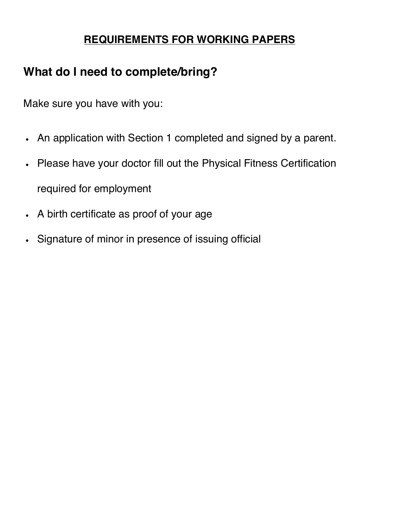## **REQUIREMENTS FOR WORKING PAPERS**

# **What do I need to complete/bring?**

Make sure you have with you:

- An application with Section 1 completed and signed by a parent.
- Please have your doctor fill out the Physical Fitness Certification required for employment
- A birth certificate as proof of your age
- Signature of minor in presence of issuing official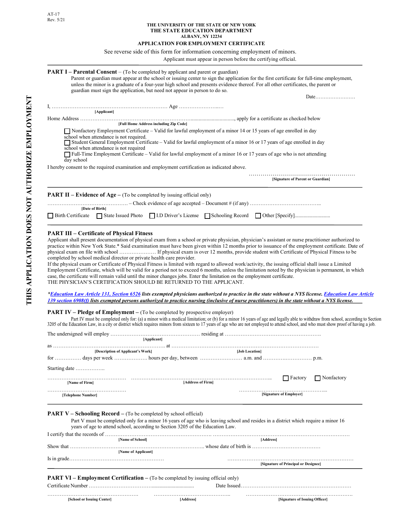**THIS APPLICATION DOES NOT AUTHORIZE EMPLOYMENT** 

THIS APPLICATION DOES NOT AUTHORIZE EMPLOYMENT

#### **THE UNIVERSITY OF THE STATE OF NEW YORK THE STATE EDUCATION DEPARTMENT ALBANY, NY 12234**

#### **APPLICATION FOR EMPLOYMENT CERTIFICATE**

#### See reverse side of this form for information concerning employment of minors.

Applicant must appear in person before the certifying official.

## **PART I – Parental Consent** – (To be completed by applicant and parent or guardian)

Parent or guardian must appear at the school or issuing center to sign the application for the first certificate for full-time employment, unless the minor is a graduate of a four-year high school and presents evidence thereof. For all other certificates, the parent or guardian must sign the application, but need not appear in person to do so.

Date……………………

| [Applicant]                                                                                     |                                                                                                                                                                                                                                                                                                                                                                                 |
|-------------------------------------------------------------------------------------------------|---------------------------------------------------------------------------------------------------------------------------------------------------------------------------------------------------------------------------------------------------------------------------------------------------------------------------------------------------------------------------------|
|                                                                                                 | [Full Home Address including Zip Code]                                                                                                                                                                                                                                                                                                                                          |
| school when attendance is not required.<br>school when attendance is not required<br>day school | $\Box$ Nonfactory Employment Certificate – Valid for lawful employment of a minor 14 or 15 years of age enrolled in day<br>Student General Employment Certificate – Valid for lawful employment of a minor 16 or 17 years of age enrolled in day<br>$\Box$ Full-Time Employment Certificate – Valid for lawful employment of a minor 16 or 17 years of age who is not attending |
|                                                                                                 | I hereby consent to the required examination and employment certification as indicated above.                                                                                                                                                                                                                                                                                   |
|                                                                                                 | [Signature of Parent or Guardian]                                                                                                                                                                                                                                                                                                                                               |
| <b>PART II – Evidence of Age –</b> (To be completed by issuing official only)                   |                                                                                                                                                                                                                                                                                                                                                                                 |

 $\ldots$  – Check evidence of age accepted – Document # (if any)  $\ldots$   $\ldots$   $\ldots$   $\ldots$   $\ldots$   $\ldots$   $\ldots$  ... **[Date of Birth]** 

> @ Birth Certificate > @State Issued Photo > @I.D Driver's License > @Schooling Record >@2WKHU>6SHFLI\@

#### **PART III – Certificate of Physical Fitness**

Applicant shall present documentation of physical exam from a school or private physician, physician's assistant or nurse practitioner authorized to practice within New York State.\* Said examination must have been given within 12 months prior to issuance of the employment certificate. Date of physical exam on file with school ………………… If physical exam is over 12 months, provide student with Certificate of Physical Fitness to be completed by school medical director or private health care provider.

If the physical exam or Certificate of Physical Fitness is limited with regard to allowed work/activity, the issuing official shall issue a Limited Employment Certificate, which will be valid for a period not to exceed 6 months, unless the limitation noted by the physician is permanent, in which case, the certificate will remain valid until the minor changes jobs. Enter the limitation on the employment certificate. THE PHYSICIAN'S CERTIFICATION SHOULD BE RETURNED TO THE APPLICANT.

 *[Education Law Article 131, Section 652](http://www.op.nysed.gov/prof/med/article131.htm%236526)6 lists exempted physicians authorized to practice in the state without a NYS lice[nse. Education Law Article](http://www.op.nysed.gov/prof/nurse/article139.htm%23sect6908)  [139 section 6908\(f](http://www.op.nysed.gov/prof/nurse/article139.htm%23sect6908)) lists exempted persons authorized to practice nursing (inclusive of nurse practitioners) in the state without a NYS license.* 

**PART IV – Pledge of Employment –** (To be completed by prospective employer)

Part IV must be completed only for: (a) a minor with a medical limitation; or (b) for a minor 16 years of age and legally able to withdraw from school, according to Section 3205 of the Education Law, in a city or district which requires minors from sixteen to 17 years of age who are not employed to attend school, and who must show proof of having a job.

|                                   | [Applicant]       |                |                         |                                  |
|-----------------------------------|-------------------|----------------|-------------------------|----------------------------------|
|                                   |                   |                |                         |                                  |
| [Description of Applicant's Work] |                   | [Job Location] |                         |                                  |
|                                   |                   |                |                         |                                  |
| Starting date                     |                   |                |                         |                                  |
|                                   | [Address of Firm] |                |                         | $\Box$ Factory $\Box$ Nonfactory |
| [Name of Firm]                    |                   |                |                         |                                  |
| [Telephone Number]                |                   |                | [Signature of Employer] |                                  |
|                                   |                   |                |                         |                                  |
|                                   |                   |                |                         |                                  |

**PART V – Schooling Record –** (To be completed by school official)

Part V must be completed only for a minor 16 years of age who is leaving school and resides in a district which require a minor 16 years of age to attend school, according to Section 3205 of the Education Law.

|           | [Name of School]    | <b>Addressl</b>                      |
|-----------|---------------------|--------------------------------------|
| Show that |                     |                                      |
|           | [Name of Applicant] |                                      |
|           |                     | [Signature of Principal or Designee] |

#### **PART VI – Employment Certification –** (To be completed by issuing official only)

Certificate Number ………………………………................................ Date Issued……………………………………………………… ……………………………………………. …………………………………….. …………………………………………………….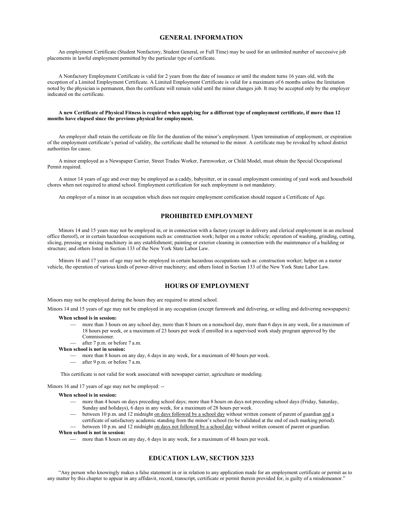#### **GENERAL INFORMATION**

An employment Certificate (Student Nonfactory, Student General, or Full Time) may be used for an unlimited number of successive job placements in lawful employment permitted by the particular type of certificate.

A Nonfactory Employment Certificate is valid for 2 years from the date of issuance or until the student turns 16 years old, with the exception of a Limited Employment Certificate. A Limited Employment Certificate is valid for a maximum of 6 months unless the limitation noted by the physician is permanent, then the certificate will remain valid until the minor changes job. It may be accepted only by the employer indicated on the certificate.

#### **A new Certificate of Physical Fitness is required when applying for a different type of employment certificate, if more than 12 months have elapsed since the previous physical for employment.**

An employer shall retain the certificate on file for the duration of the minor's employment. Upon termination of employment, or expiration of the employment certificate's period of validity, the certificate shall be returned to the minor. A certificate may be revoked by school district authorities for cause.

A minor employed as a Newspaper Carrier, Street Trades Worker, Farmworker, or Child Model, must obtain the Special Occupational Permit required.

A minor 14 years of age and over may be employed as a caddy, babysitter, or in casual employment consisting of yard work and household chores when not required to attend school. Employment certification for such employment is not mandatory.

An employer of a minor in an occupation which does not require employment certification should request a Certificate of Age.

## **PROHIBITED EMPLOYMENT**

Minors 14 and 15 years may not be employed in, or in connection with a factory (except in delivery and clerical employment in an enclosed office thereof), or in certain hazardous occupations such as: construction work; helper on a motor vehicle; operation of washing, grinding, cutting, slicing, pressing or mixing machinery in any establishment; painting or exterior cleaning in connection with the maintenance of a building or structure; and others listed in Section 133 of the New York State Labor Law.

Minors 16 and 17 years of age may not be employed in certain hazardous occupations such as: construction worker; helper on a motor vehicle, the operation of various kinds of power-driver machinery; and others listed in Section 133 of the New York State Labor Law.

### **HOURS OF EMPLOYMENT**

Minors may not be employed during the hours they are required to attend school.

Minors 14 and 15 years of age may not be employed in any occupation (except farmwork and delivering, or selling and delivering newspapers):

#### **When school is in session:**

- more than 3 hours on any school day, more than 8 hours on a nonschool day, more than 6 days in any week, for a maximum of 18 hours per week, or a maximum of 23 hours per week if enrolled in a supervised work study program approved by the Commissioner.
- after 7 p.m. or before 7 a.m.

#### **When school is not in session:**

- more than 8 hours on any day, 6 days in any week, for a maximum of 40 hours per week.
- after 9 p.m. or before 7 a.m.

This certificate is not valid for work associated with newspaper carrier, agriculture or modeling.

Minors 16 and 17 years of age may not be employed: --

#### **When school is in session:**

- more than 4 hours on days preceding school days; more than 8 hours on days not preceding school days (Friday, Saturday, Sunday and holidays), 6 days in any week, for a maximum of 28 hours per week.
- between 10 p.m. and 12 midnight on days followed by a school day without written consent of parent of guardian and a certificate of satisfactory academic standing from the minor's school (to be validated at the end of each marking period).
- between 10 p.m. and 12 midnight on days not followed by a school day without written consent of parent or guardian. **When school is not in session:**

more than 8 hours on any day, 6 days in any week, for a maximum of 48 hours per week.

#### **EDUCATION LAW, SECTION 3233**

"Any person who knowingly makes a false statement in or in relation to any application made for an employment certificate or permit as to any matter by this chapter to appear in any affidavit, record, transcript, certificate or permit therein provided for, is guilty of a misdemeanor."